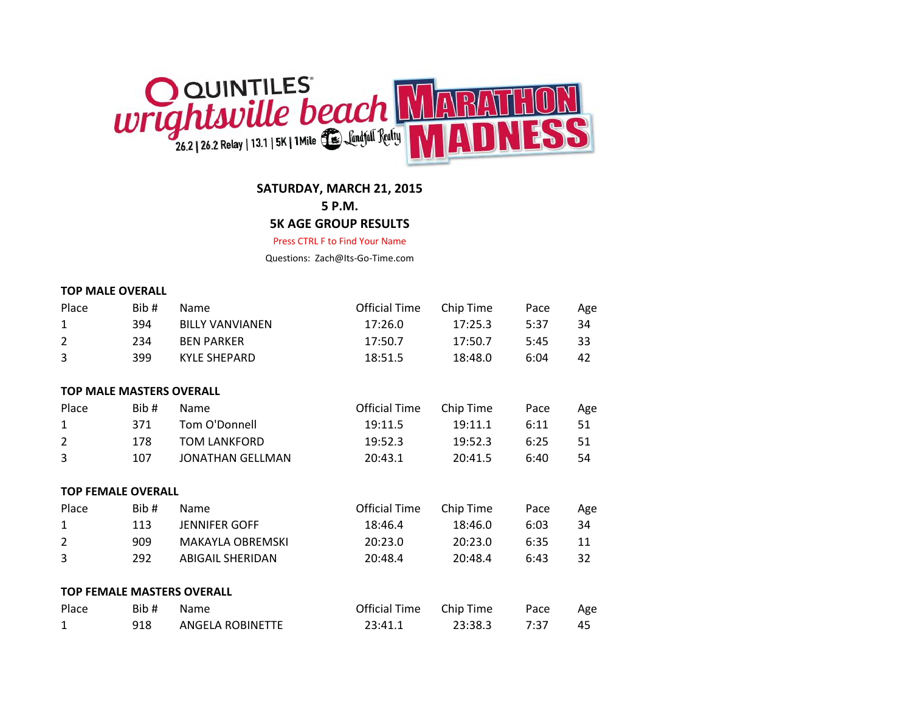

**SATURDAY, MARCH 21, 2015**

**5 P.M.**

# **5K AGE GROUP RESULTS**

Press CTRL F to Find Your Name

Questions: Zach@Its-Go-Time.com

#### **TOP MALE OVERALL**

| Place                             | Bib# | Name                    | <b>Official Time</b> | Chip Time | Pace | Age |
|-----------------------------------|------|-------------------------|----------------------|-----------|------|-----|
| 1                                 | 394  | <b>BILLY VANVIANEN</b>  | 17:26.0              | 17:25.3   | 5:37 | 34  |
| $\overline{2}$                    | 234  | <b>BEN PARKER</b>       | 17:50.7              | 17:50.7   | 5:45 | 33  |
| 3                                 | 399  | <b>KYLE SHEPARD</b>     | 18:51.5              | 18:48.0   | 6:04 | 42  |
|                                   |      |                         |                      |           |      |     |
| <b>TOP MALE MASTERS OVERALL</b>   |      |                         |                      |           |      |     |
| Place                             | Bib# | Name                    | <b>Official Time</b> | Chip Time | Pace | Age |
| 1                                 | 371  | Tom O'Donnell           | 19:11.5              | 19:11.1   | 6:11 | 51  |
| $\overline{2}$                    | 178  | <b>TOM LANKFORD</b>     | 19:52.3              | 19:52.3   | 6:25 | 51  |
| 3                                 | 107  | <b>JONATHAN GELLMAN</b> | 20:43.1              | 20:41.5   | 6:40 | 54  |
| <b>TOP FEMALE OVERALL</b>         |      |                         |                      |           |      |     |
| Place                             | Bib# | Name                    | <b>Official Time</b> | Chip Time | Pace | Age |
| 1                                 | 113  | <b>JENNIFER GOFF</b>    | 18:46.4              | 18:46.0   | 6:03 | 34  |
| $\overline{2}$                    | 909  | <b>MAKAYLA OBREMSKI</b> | 20:23.0              | 20:23.0   | 6:35 | 11  |
| 3                                 | 292  | <b>ABIGAIL SHERIDAN</b> | 20:48.4              | 20:48.4   | 6:43 | 32  |
|                                   |      |                         |                      |           |      |     |
| <b>TOP FEMALE MASTERS OVERALL</b> |      |                         |                      |           |      |     |
| Place                             | Bib# | Name                    | <b>Official Time</b> | Chip Time | Pace | Age |
| 1                                 | 918  | <b>ANGELA ROBINETTE</b> | 23:41.1              | 23:38.3   | 7:37 | 45  |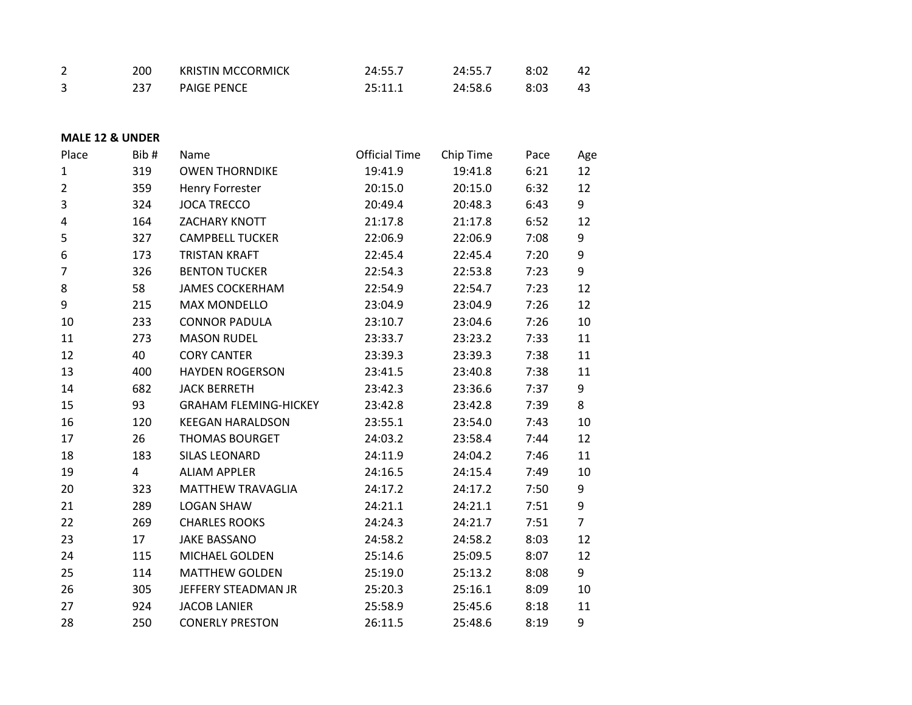| 200 | <b>KRISTIN MCCORMICK</b> | 24:55.7 | 24:55.7 | 8:02 | 42 |
|-----|--------------------------|---------|---------|------|----|
|     | <b>PAIGE PENCE</b>       | 25:11.1 | 24:58.6 | 8:03 | 43 |

# **MALE 12 & UNDER**

| Place          | Bib# | Name                         | <b>Official Time</b> | Chip Time | Pace | Age            |
|----------------|------|------------------------------|----------------------|-----------|------|----------------|
| 1              | 319  | <b>OWEN THORNDIKE</b>        | 19:41.9              | 19:41.8   | 6:21 | 12             |
| $\overline{2}$ | 359  | Henry Forrester              | 20:15.0              | 20:15.0   | 6:32 | 12             |
| 3              | 324  | <b>JOCA TRECCO</b>           | 20:49.4              | 20:48.3   | 6:43 | 9              |
| 4              | 164  | ZACHARY KNOTT                | 21:17.8              | 21:17.8   | 6:52 | 12             |
| 5              | 327  | <b>CAMPBELL TUCKER</b>       | 22:06.9              | 22:06.9   | 7:08 | 9              |
| 6              | 173  | <b>TRISTAN KRAFT</b>         | 22:45.4              | 22:45.4   | 7:20 | 9              |
| 7              | 326  | <b>BENTON TUCKER</b>         | 22:54.3              | 22:53.8   | 7:23 | 9              |
| 8              | 58   | <b>JAMES COCKERHAM</b>       | 22:54.9              | 22:54.7   | 7:23 | 12             |
| 9              | 215  | <b>MAX MONDELLO</b>          | 23:04.9              | 23:04.9   | 7:26 | 12             |
| 10             | 233  | <b>CONNOR PADULA</b>         | 23:10.7              | 23:04.6   | 7:26 | 10             |
| 11             | 273  | <b>MASON RUDEL</b>           | 23:33.7              | 23:23.2   | 7:33 | 11             |
| 12             | 40   | <b>CORY CANTER</b>           | 23:39.3              | 23:39.3   | 7:38 | 11             |
| 13             | 400  | <b>HAYDEN ROGERSON</b>       | 23:41.5              | 23:40.8   | 7:38 | 11             |
| 14             | 682  | <b>JACK BERRETH</b>          | 23:42.3              | 23:36.6   | 7:37 | 9              |
| 15             | 93   | <b>GRAHAM FLEMING-HICKEY</b> | 23:42.8              | 23:42.8   | 7:39 | 8              |
| 16             | 120  | <b>KEEGAN HARALDSON</b>      | 23:55.1              | 23:54.0   | 7:43 | 10             |
| 17             | 26   | <b>THOMAS BOURGET</b>        | 24:03.2              | 23:58.4   | 7:44 | 12             |
| 18             | 183  | <b>SILAS LEONARD</b>         | 24:11.9              | 24:04.2   | 7:46 | 11             |
| 19             | 4    | <b>ALIAM APPLER</b>          | 24:16.5              | 24:15.4   | 7:49 | 10             |
| 20             | 323  | <b>MATTHEW TRAVAGLIA</b>     | 24:17.2              | 24:17.2   | 7:50 | 9              |
| 21             | 289  | <b>LOGAN SHAW</b>            | 24:21.1              | 24:21.1   | 7:51 | 9              |
| 22             | 269  | <b>CHARLES ROOKS</b>         | 24:24.3              | 24:21.7   | 7:51 | $\overline{7}$ |
| 23             | 17   | <b>JAKE BASSANO</b>          | 24:58.2              | 24:58.2   | 8:03 | 12             |
| 24             | 115  | MICHAEL GOLDEN               | 25:14.6              | 25:09.5   | 8:07 | 12             |
| 25             | 114  | <b>MATTHEW GOLDEN</b>        | 25:19.0              | 25:13.2   | 8:08 | 9              |
| 26             | 305  | JEFFERY STEADMAN JR          | 25:20.3              | 25:16.1   | 8:09 | 10             |
| 27             | 924  | <b>JACOB LANIER</b>          | 25:58.9              | 25:45.6   | 8:18 | 11             |
| 28             | 250  | <b>CONERLY PRESTON</b>       | 26:11.5              | 25:48.6   | 8:19 | 9              |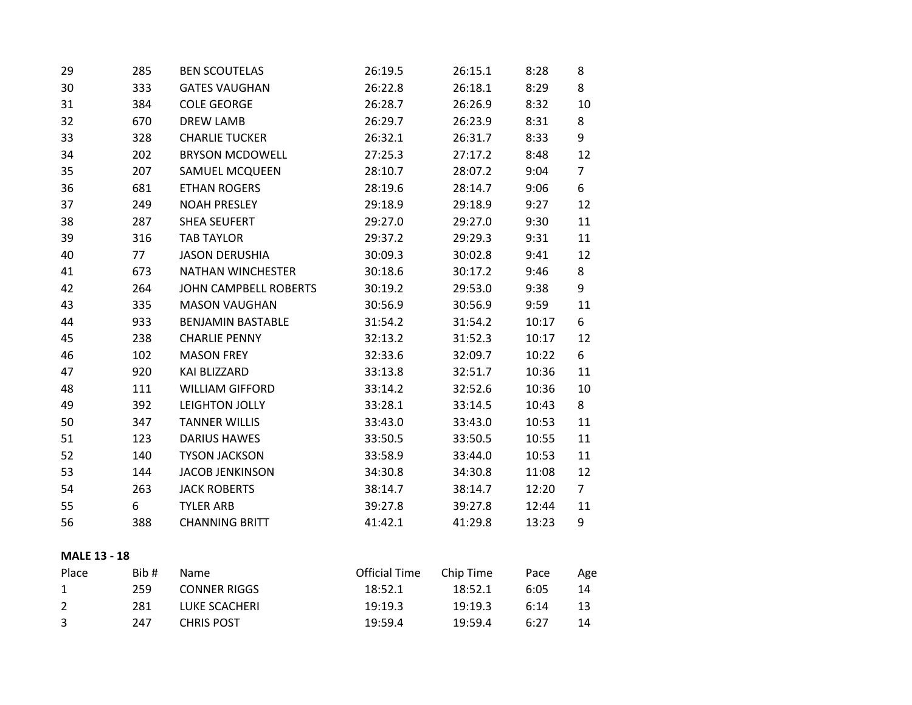| 29 | 285 | <b>BEN SCOUTELAS</b>         | 26:19.5 | 26:15.1 | 8:28  | 8              |
|----|-----|------------------------------|---------|---------|-------|----------------|
| 30 | 333 | <b>GATES VAUGHAN</b>         | 26:22.8 | 26:18.1 | 8:29  | 8              |
| 31 | 384 | <b>COLE GEORGE</b>           | 26:28.7 | 26:26.9 | 8:32  | 10             |
| 32 | 670 | <b>DREW LAMB</b>             | 26:29.7 | 26:23.9 | 8:31  | 8              |
| 33 | 328 | <b>CHARLIE TUCKER</b>        | 26:32.1 | 26:31.7 | 8:33  | 9              |
| 34 | 202 | <b>BRYSON MCDOWELL</b>       | 27:25.3 | 27:17.2 | 8:48  | 12             |
| 35 | 207 | SAMUEL MCQUEEN               | 28:10.7 | 28:07.2 | 9:04  | $\overline{7}$ |
| 36 | 681 | <b>ETHAN ROGERS</b>          | 28:19.6 | 28:14.7 | 9:06  | 6              |
| 37 | 249 | <b>NOAH PRESLEY</b>          | 29:18.9 | 29:18.9 | 9:27  | 12             |
| 38 | 287 | <b>SHEA SEUFERT</b>          | 29:27.0 | 29:27.0 | 9:30  | 11             |
| 39 | 316 | <b>TAB TAYLOR</b>            | 29:37.2 | 29:29.3 | 9:31  | 11             |
| 40 | 77  | <b>JASON DERUSHIA</b>        | 30:09.3 | 30:02.8 | 9:41  | 12             |
| 41 | 673 | <b>NATHAN WINCHESTER</b>     | 30:18.6 | 30:17.2 | 9:46  | 8              |
| 42 | 264 | <b>JOHN CAMPBELL ROBERTS</b> | 30:19.2 | 29:53.0 | 9:38  | 9              |
| 43 | 335 | <b>MASON VAUGHAN</b>         | 30:56.9 | 30:56.9 | 9:59  | 11             |
| 44 | 933 | <b>BENJAMIN BASTABLE</b>     | 31:54.2 | 31:54.2 | 10:17 | 6              |
| 45 | 238 | <b>CHARLIE PENNY</b>         | 32:13.2 | 31:52.3 | 10:17 | 12             |
| 46 | 102 | <b>MASON FREY</b>            | 32:33.6 | 32:09.7 | 10:22 | 6              |
| 47 | 920 | KAI BLIZZARD                 | 33:13.8 | 32:51.7 | 10:36 | 11             |
| 48 | 111 | <b>WILLIAM GIFFORD</b>       | 33:14.2 | 32:52.6 | 10:36 | 10             |
| 49 | 392 | LEIGHTON JOLLY               | 33:28.1 | 33:14.5 | 10:43 | 8              |
| 50 | 347 | <b>TANNER WILLIS</b>         | 33:43.0 | 33:43.0 | 10:53 | 11             |
| 51 | 123 | <b>DARIUS HAWES</b>          | 33:50.5 | 33:50.5 | 10:55 | 11             |
| 52 | 140 | <b>TYSON JACKSON</b>         | 33:58.9 | 33:44.0 | 10:53 | 11             |
| 53 | 144 | <b>JACOB JENKINSON</b>       | 34:30.8 | 34:30.8 | 11:08 | 12             |
| 54 | 263 | <b>JACK ROBERTS</b>          | 38:14.7 | 38:14.7 | 12:20 | 7 <sup>1</sup> |
| 55 | 6   | <b>TYLER ARB</b>             | 39:27.8 | 39:27.8 | 12:44 | 11             |
| 56 | 388 | <b>CHANNING BRITT</b>        | 41:42.1 | 41:29.8 | 13:23 | 9              |
|    |     |                              |         |         |       |                |

# **MALE 13 - 18**

| Place        | Bib# | Name              | Official Time | Chip Time | Pace | Age |
|--------------|------|-------------------|---------------|-----------|------|-----|
| $\mathbf{1}$ | 259  | CONNER RIGGS      | 18:52.1       | 18:52.1   | 6:05 | 14  |
| 2            | 281  | LUKE SCACHERI     | 19:19.3       | 19:19.3   | 6:14 | 13  |
| -3           | 247  | <b>CHRIS POST</b> | 19:59.4       | 19:59.4   | 6:27 | 14  |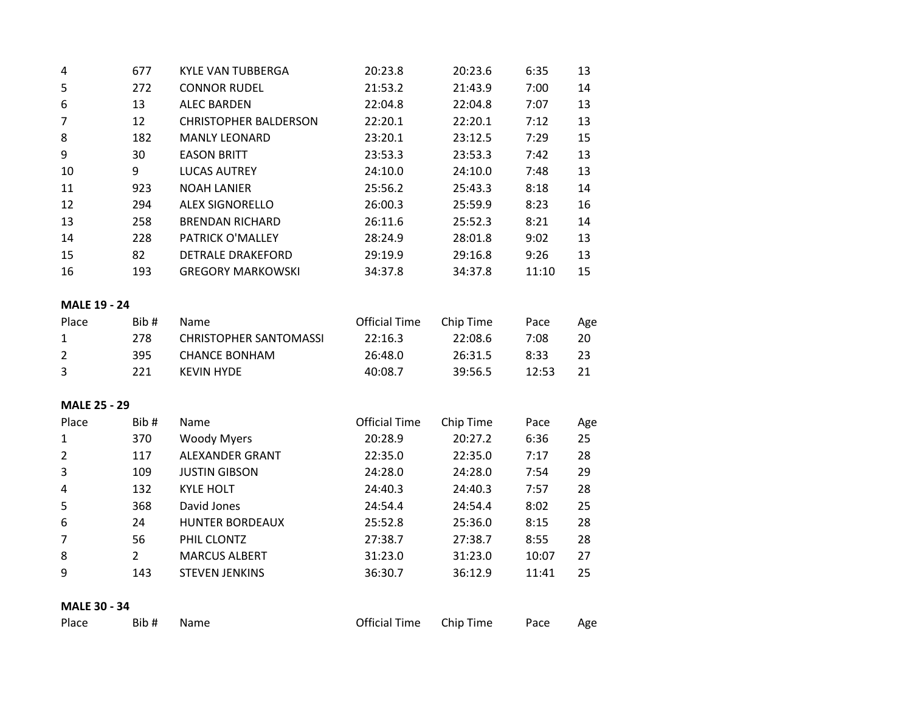| 4  | 677 | KYLE VAN TUBBERGA            | 20:23.8 | 20:23.6 | 6:35  | 13 |
|----|-----|------------------------------|---------|---------|-------|----|
| 5. | 272 | <b>CONNOR RUDEL</b>          | 21:53.2 | 21:43.9 | 7:00  | 14 |
| 6  | 13  | <b>ALEC BARDEN</b>           | 22:04.8 | 22:04.8 | 7:07  | 13 |
| 7  | 12  | <b>CHRISTOPHER BALDERSON</b> | 22:20.1 | 22:20.1 | 7:12  | 13 |
| 8  | 182 | <b>MANLY LEONARD</b>         | 23:20.1 | 23:12.5 | 7:29  | 15 |
| 9  | 30  | <b>EASON BRITT</b>           | 23:53.3 | 23:53.3 | 7:42  | 13 |
| 10 | 9   | <b>LUCAS AUTREY</b>          | 24:10.0 | 24:10.0 | 7:48  | 13 |
| 11 | 923 | <b>NOAH LANIER</b>           | 25:56.2 | 25:43.3 | 8:18  | 14 |
| 12 | 294 | <b>ALEX SIGNORELLO</b>       | 26:00.3 | 25:59.9 | 8:23  | 16 |
| 13 | 258 | <b>BRENDAN RICHARD</b>       | 26:11.6 | 25:52.3 | 8:21  | 14 |
| 14 | 228 | <b>PATRICK O'MALLEY</b>      | 28:24.9 | 28:01.8 | 9:02  | 13 |
| 15 | 82  | <b>DETRALE DRAKEFORD</b>     | 29:19.9 | 29:16.8 | 9:26  | 13 |
| 16 | 193 | <b>GREGORY MARKOWSKI</b>     | 34:37.8 | 34:37.8 | 11:10 | 15 |

# **MALE 19 - 24**

| Place | Bib# | Name.                         | <b>Official Time</b> | Chip Time | Pace  | Age  |
|-------|------|-------------------------------|----------------------|-----------|-------|------|
| 1     | 278. | <b>CHRISTOPHER SANTOMASSI</b> | 22:16.3              | 22:08.6   | 7:08  | 20   |
| 2     | 395. | CHANCE BONHAM                 | 26:48.0              | 26:31.5   | 8.33  | -23- |
| ્ર    | 221. | KFVIN HYDF                    | 40:08.7              | 39:56.5   | 12:53 |      |

# **MALE 25 - 29**

| Place | Bib# | Name                   | <b>Official Time</b> | Chip Time | Pace  | Age |
|-------|------|------------------------|----------------------|-----------|-------|-----|
| 1     | 370  | <b>Woody Myers</b>     | 20:28.9              | 20:27.2   | 6:36  | 25  |
| 2     | 117  | <b>ALEXANDER GRANT</b> | 22:35.0              | 22:35.0   | 7:17  | 28  |
| 3     | 109  | <b>JUSTIN GIBSON</b>   | 24:28.0              | 24:28.0   | 7:54  | 29  |
| 4     | 132  | <b>KYLE HOLT</b>       | 24:40.3              | 24:40.3   | 7:57  | 28  |
| 5     | 368  | David Jones            | 24:54.4              | 24:54.4   | 8:02  | 25  |
| 6     | 24   | <b>HUNTER BORDEAUX</b> | 25:52.8              | 25:36.0   | 8:15  | 28  |
|       | 56   | PHIL CLONTZ            | 27:38.7              | 27:38.7   | 8:55  | 28  |
| 8     | 2    | <b>MARCUS ALBERT</b>   | 31:23.0              | 31:23.0   | 10:07 | 27  |
| 9     | 143  | <b>STEVEN JENKINS</b>  | 36:30.7              | 36:12.9   | 11:41 | 25  |

# **MALE 30 - 34**

| Place<br>Bib # Name |  | Official Time Chip Time Pace Age |
|---------------------|--|----------------------------------|
|---------------------|--|----------------------------------|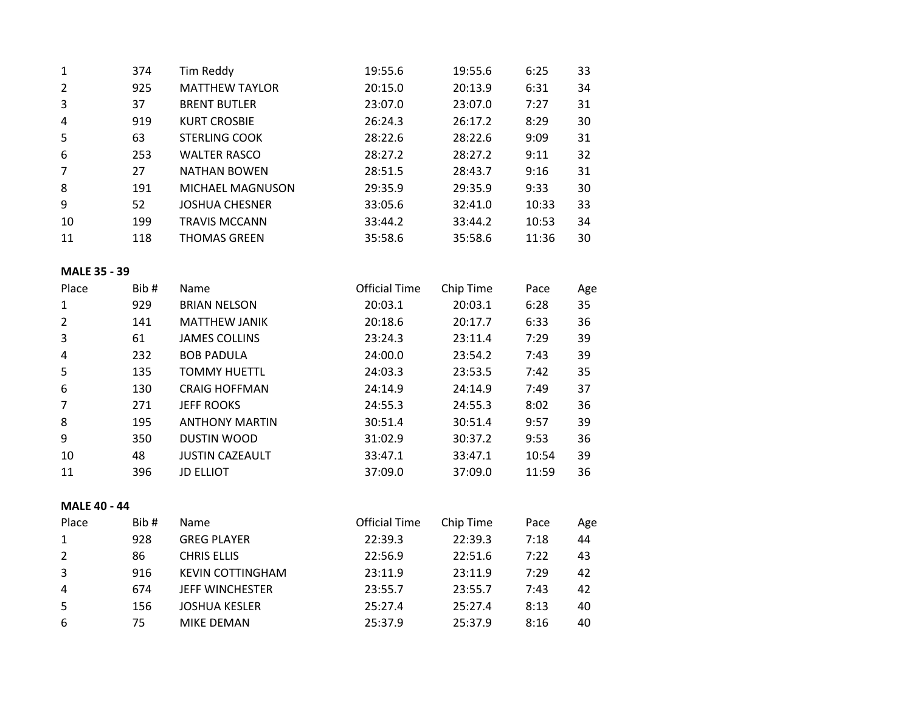| 1  | 374 | Tim Reddy             | 19:55.6 | 19:55.6 | 6:25  | 33 |
|----|-----|-----------------------|---------|---------|-------|----|
| 2  | 925 | <b>MATTHEW TAYLOR</b> | 20:15.0 | 20:13.9 | 6:31  | 34 |
| 3  | 37  | <b>BRENT BUTLER</b>   | 23:07.0 | 23:07.0 | 7:27  | 31 |
| 4  | 919 | <b>KURT CROSBIE</b>   | 26:24.3 | 26:17.2 | 8:29  | 30 |
| 5  | 63  | <b>STERLING COOK</b>  | 28:22.6 | 28:22.6 | 9:09  | 31 |
| 6  | 253 | <b>WALTER RASCO</b>   | 28:27.2 | 28:27.2 | 9:11  | 32 |
| 7  | 27  | NATHAN BOWEN          | 28:51.5 | 28:43.7 | 9:16  | 31 |
| 8  | 191 | MICHAEL MAGNUSON      | 29:35.9 | 29:35.9 | 9:33  | 30 |
| 9  | 52  | <b>JOSHUA CHESNER</b> | 33:05.6 | 32:41.0 | 10:33 | 33 |
| 10 | 199 | <b>TRAVIS MCCANN</b>  | 33:44.2 | 33:44.2 | 10:53 | 34 |
| 11 | 118 | <b>THOMAS GREEN</b>   | 35:58.6 | 35:58.6 | 11:36 | 30 |

# **MALE 35 - 39**

| Place | Bib# | Name                   | <b>Official Time</b> | Chip Time | Pace  | Age |
|-------|------|------------------------|----------------------|-----------|-------|-----|
| 1     | 929  | <b>BRIAN NELSON</b>    | 20:03.1              | 20:03.1   | 6:28  | 35  |
|       | 141  | <b>MATTHEW JANIK</b>   | 20:18.6              | 20:17.7   | 6:33  | 36  |
| 3     | 61   | <b>JAMES COLLINS</b>   | 23:24.3              | 23:11.4   | 7:29  | 39  |
| 4     | 232  | <b>BOB PADULA</b>      | 24:00.0              | 23:54.2   | 7:43  | 39  |
| 5     | 135  | <b>TOMMY HUETTL</b>    | 24:03.3              | 23:53.5   | 7:42  | 35  |
| 6     | 130  | <b>CRAIG HOFFMAN</b>   | 24:14.9              | 24:14.9   | 7:49  | 37  |
|       | 271  | <b>JEFF ROOKS</b>      | 24:55.3              | 24:55.3   | 8:02  | 36  |
| 8     | 195  | <b>ANTHONY MARTIN</b>  | 30:51.4              | 30:51.4   | 9:57  | 39  |
| 9     | 350  | <b>DUSTIN WOOD</b>     | 31:02.9              | 30:37.2   | 9:53  | 36  |
| 10    | 48   | <b>JUSTIN CAZEAULT</b> | 33:47.1              | 33:47.1   | 10:54 | 39  |
| 11    | 396  | <b>JD ELLIOT</b>       | 37:09.0              | 37:09.0   | 11:59 | 36  |

# **MALE 40 - 44**

| Place | Bib# | <b>Name</b>             | <b>Official Time</b> | Chip Time | Pace | Age |
|-------|------|-------------------------|----------------------|-----------|------|-----|
| 1     | 928  | <b>GREG PLAYER</b>      | 22:39.3              | 22:39.3   | 7:18 | 44  |
| 2     | 86   | <b>CHRIS ELLIS</b>      | 22:56.9              | 22:51.6   | 7:22 | 43  |
| 3     | 916  | <b>KEVIN COTTINGHAM</b> | 23:11.9              | 23:11.9   | 7:29 | 42  |
| 4     | 674  | <b>JEFF WINCHESTER</b>  | 23:55.7              | 23:55.7   | 7:43 | 42  |
| -5    | 156  | <b>JOSHUA KESLER</b>    | 25:27.4              | 25:27.4   | 8:13 | 40  |
| -6    | 75   | <b>MIKE DEMAN</b>       | 25:37.9              | 25:37.9   | 8:16 | 40  |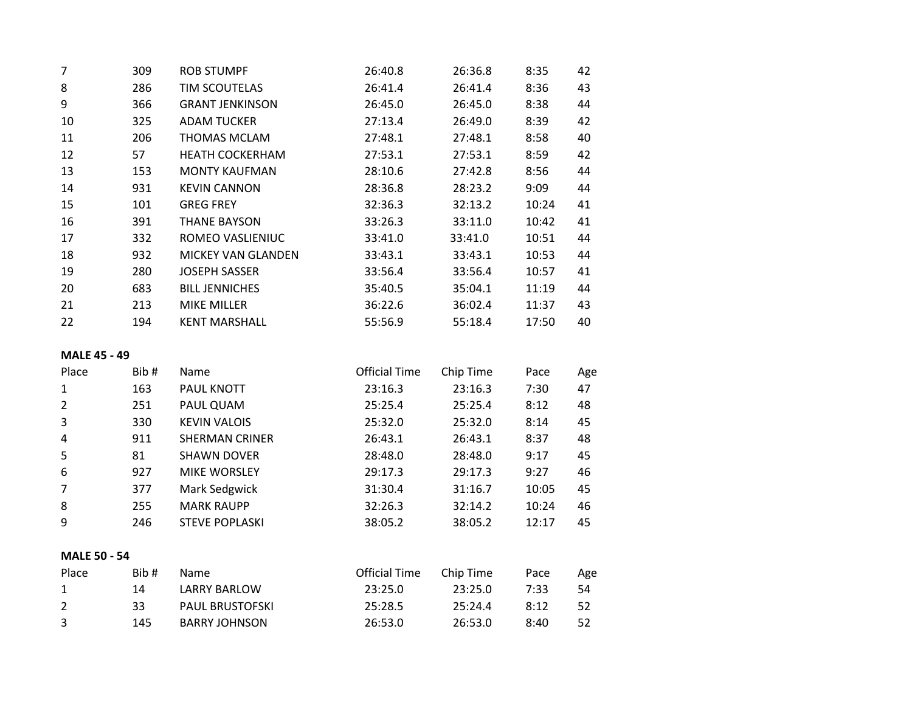| $\overline{7}$ | 309 | <b>ROB STUMPF</b>         | 26:40.8 | 26:36.8 | 8:35  | 42 |
|----------------|-----|---------------------------|---------|---------|-------|----|
| 8              | 286 | TIM SCOUTELAS             | 26:41.4 | 26:41.4 | 8:36  | 43 |
| 9              | 366 | <b>GRANT JENKINSON</b>    | 26:45.0 | 26:45.0 | 8:38  | 44 |
| 10             | 325 | <b>ADAM TUCKER</b>        | 27:13.4 | 26:49.0 | 8:39  | 42 |
| 11             | 206 | THOMAS MCLAM              | 27:48.1 | 27:48.1 | 8:58  | 40 |
| 12             | 57  | <b>HEATH COCKERHAM</b>    | 27:53.1 | 27:53.1 | 8:59  | 42 |
| 13             | 153 | <b>MONTY KAUFMAN</b>      | 28:10.6 | 27:42.8 | 8:56  | 44 |
| 14             | 931 | <b>KEVIN CANNON</b>       | 28:36.8 | 28:23.2 | 9:09  | 44 |
| 15             | 101 | <b>GREG FREY</b>          | 32:36.3 | 32:13.2 | 10:24 | 41 |
| 16             | 391 | <b>THANE BAYSON</b>       | 33:26.3 | 33:11.0 | 10:42 | 41 |
| 17             | 332 | ROMEO VASLIENIUC          | 33:41.0 | 33:41.0 | 10:51 | 44 |
| 18             | 932 | <b>MICKEY VAN GLANDEN</b> | 33:43.1 | 33:43.1 | 10:53 | 44 |
| 19             | 280 | <b>JOSEPH SASSER</b>      | 33:56.4 | 33:56.4 | 10:57 | 41 |
| 20             | 683 | <b>BILL JENNICHES</b>     | 35:40.5 | 35:04.1 | 11:19 | 44 |
| 21             | 213 | <b>MIKE MILLER</b>        | 36:22.6 | 36:02.4 | 11:37 | 43 |
| 22             | 194 | <b>KENT MARSHALL</b>      | 55:56.9 | 55:18.4 | 17:50 | 40 |

# **MALE 45 - 49**

| Place | Bib# | Name                  | <b>Official Time</b> | Chip Time | Pace  | Age |
|-------|------|-----------------------|----------------------|-----------|-------|-----|
| 1     | 163  | <b>PAUL KNOTT</b>     | 23:16.3              | 23:16.3   | 7:30  | 47  |
| 2     | 251  | PAUL QUAM             | 25:25.4              | 25:25.4   | 8:12  | 48  |
| 3     | 330  | <b>KEVIN VALOIS</b>   | 25:32.0              | 25:32.0   | 8:14  | 45  |
| 4     | 911  | <b>SHERMAN CRINER</b> | 26:43.1              | 26:43.1   | 8:37  | 48  |
| 5     | 81   | <b>SHAWN DOVER</b>    | 28:48.0              | 28:48.0   | 9:17  | 45  |
| 6     | 927  | <b>MIKE WORSLEY</b>   | 29:17.3              | 29:17.3   | 9:27  | 46  |
| 7     | 377  | Mark Sedgwick         | 31:30.4              | 31:16.7   | 10:05 | 45  |
| 8     | 255  | <b>MARK RAUPP</b>     | 32:26.3              | 32:14.2   | 10:24 | 46  |
| 9     | 246  | <b>STEVE POPLASKI</b> | 38:05.2              | 38:05.2   | 12:17 | 45  |
|       |      |                       |                      |           |       |     |

# **MALE 50 - 54**

| Place        | Bib# | Name                   | Official Time | Chip Time | Pace | Age |
|--------------|------|------------------------|---------------|-----------|------|-----|
| $\mathbf{1}$ | 14   | <b>LARRY BARLOW</b>    | 23:25.0       | 23:25.0   | 7:33 | 54  |
| 2            | 33.  | <b>PAUL BRUSTOFSKI</b> | 25:28.5       | 25:24.4   | 8:12 | -52 |
| -3           | 145  | BARRY JOHNSON          | 26:53.0       | 26:53.0   | 8:40 | -52 |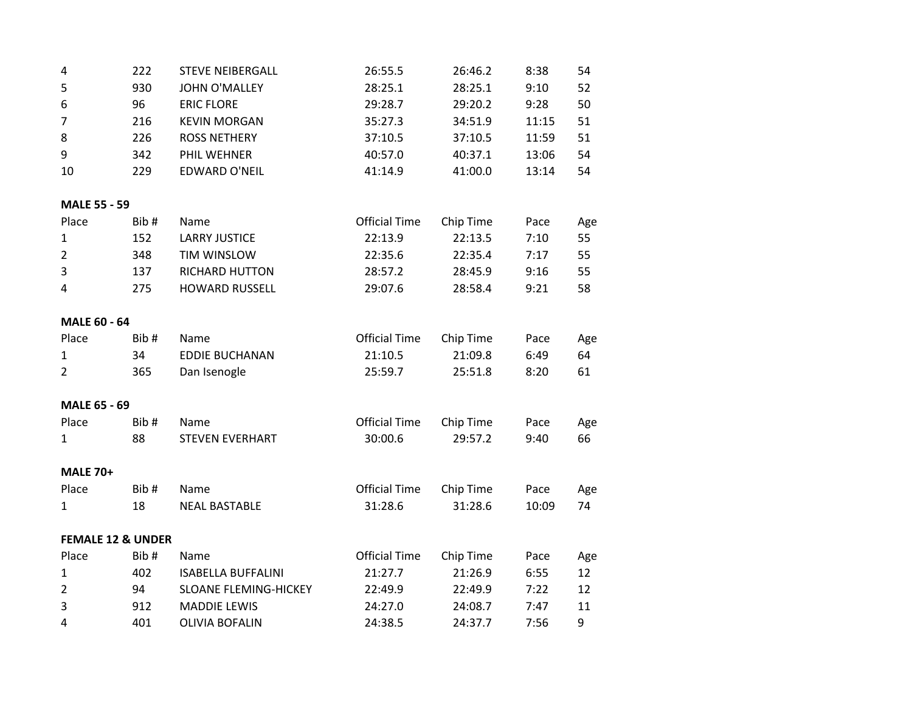| 4  | 222 | <b>STEVE NEIBERGALL</b> | 26:55.5 | 26:46.2 | 8:38  | 54 |
|----|-----|-------------------------|---------|---------|-------|----|
| 5  | 930 | <b>JOHN O'MALLEY</b>    | 28:25.1 | 28:25.1 | 9:10  | 52 |
| 6  | 96  | <b>ERIC FLORE</b>       | 29:28.7 | 29:20.2 | 9:28  | 50 |
|    | 216 | <b>KEVIN MORGAN</b>     | 35:27.3 | 34:51.9 | 11:15 | 51 |
| 8  | 226 | <b>ROSS NETHERY</b>     | 37:10.5 | 37:10.5 | 11:59 | 51 |
| 9  | 342 | PHIL WEHNER             | 40:57.0 | 40:37.1 | 13:06 | 54 |
| 10 | 229 | <b>EDWARD O'NEIL</b>    | 41:14.9 | 41:00.0 | 13:14 | 54 |
|    |     |                         |         |         |       |    |

# **MALE 55 - 59**

| Place | Bib# | Name                  | <b>Official Time</b> | Chip Time | Pace | Age |
|-------|------|-----------------------|----------------------|-----------|------|-----|
| 1     | 152  | LARRY JUSTICE         | 22:13.9              | 22:13.5   | 7:10 | 55. |
| 2     | 348  | <b>TIM WINSLOW</b>    | 22:35.6              | 22:35.4   | 7:17 | 55  |
| 3     | 137  | <b>RICHARD HUTTON</b> | 28:57.2              | 28:45.9   | 9:16 | 55  |
| 4     | 275  | <b>HOWARD RUSSELL</b> | 29:07.6              | 28:58.4   | 9:21 | 58  |

# **MALE 60 - 64**

| Place | Bib# | <b>Name</b>    | <b>Official Time</b> | Chip Time | Pace | Age |
|-------|------|----------------|----------------------|-----------|------|-----|
|       | 34   | EDDIE BUCHANAN | 21:10.5              | 21:09.8   | 6:49 | 64  |
|       | 365  | Dan Isenogle   | 25:59.7              | 25:51.8   | 8:20 | -61 |

# **MALE 65 - 69**

| Place | Bib# | Name            | Official Time Chip Time |         | Pace | Age  |
|-------|------|-----------------|-------------------------|---------|------|------|
|       |      | STEVEN EVERHART | 30:00.6                 | 29:57.2 | 9:40 | - 66 |

#### **MALE 70+**

| Place | Bib# | Name          | Official Time Chip Time |         | Pace  | Age |
|-------|------|---------------|-------------------------|---------|-------|-----|
|       |      | NEAL BASTABLE | 31:28.6                 | 31:28.6 | 10:09 | 74  |

## **FEMALE 12 & UNDER**

| Place | Bib# | Name                         | <b>Official Time</b> | Chip Time | Pace | Age |
|-------|------|------------------------------|----------------------|-----------|------|-----|
| 1     | 402  | <b>ISABELLA BUFFALINI</b>    | 21:27.7              | 21:26.9   | 6:55 |     |
| 2     | 94   | <b>SLOANE FLEMING-HICKEY</b> | 22:49.9              | 22:49.9   | 7:22 |     |
| 3     | 912  | <b>MADDIE LEWIS</b>          | 24:27.0              | 24:08.7   | 7:47 |     |
| 4     | 401  | OLIVIA BOFALIN               | 24:38.5              | 24:37.7   | 7:56 | q   |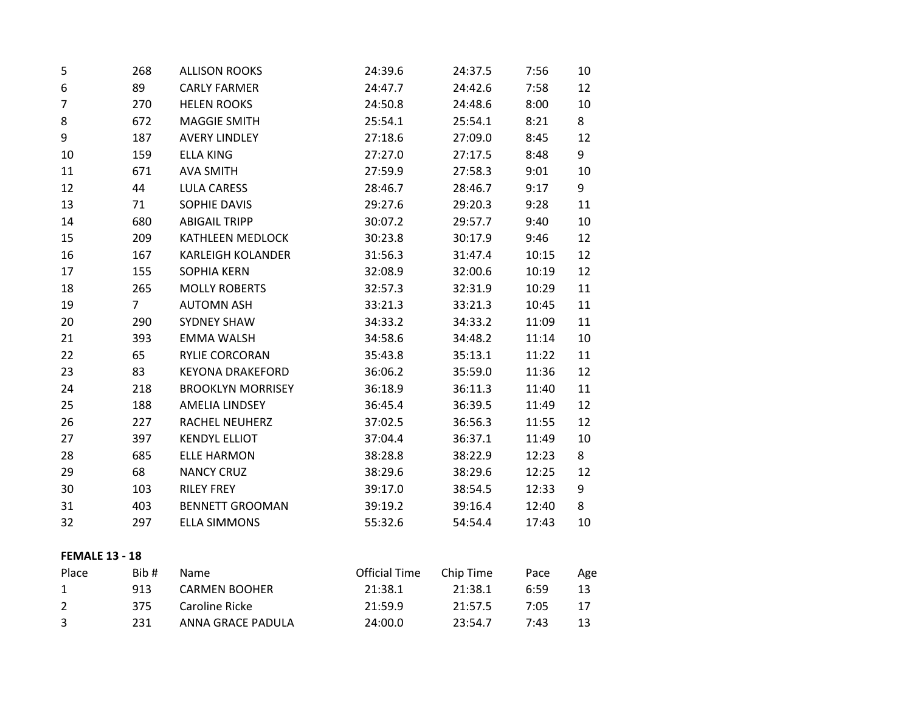| 5                     | 268            | <b>ALLISON ROOKS</b>     | 24:39.6              | 24:37.5   | 7:56  | 10  |
|-----------------------|----------------|--------------------------|----------------------|-----------|-------|-----|
| 6                     | 89             | <b>CARLY FARMER</b>      | 24:47.7              | 24:42.6   | 7:58  | 12  |
| $\overline{7}$        | 270            | <b>HELEN ROOKS</b>       | 24:50.8              | 24:48.6   | 8:00  | 10  |
| 8                     | 672            | <b>MAGGIE SMITH</b>      | 25:54.1              | 25:54.1   | 8:21  | 8   |
| 9                     | 187            | <b>AVERY LINDLEY</b>     | 27:18.6              | 27:09.0   | 8:45  | 12  |
| 10                    | 159            | <b>ELLA KING</b>         | 27:27.0              | 27:17.5   | 8:48  | 9   |
| 11                    | 671            | <b>AVA SMITH</b>         | 27:59.9              | 27:58.3   | 9:01  | 10  |
| 12                    | 44             | <b>LULA CARESS</b>       | 28:46.7              | 28:46.7   | 9:17  | 9   |
| 13                    | 71             | SOPHIE DAVIS             | 29:27.6              | 29:20.3   | 9:28  | 11  |
| 14                    | 680            | <b>ABIGAIL TRIPP</b>     | 30:07.2              | 29:57.7   | 9:40  | 10  |
| 15                    | 209            | <b>KATHLEEN MEDLOCK</b>  | 30:23.8              | 30:17.9   | 9:46  | 12  |
| 16                    | 167            | <b>KARLEIGH KOLANDER</b> | 31:56.3              | 31:47.4   | 10:15 | 12  |
| 17                    | 155            | <b>SOPHIA KERN</b>       | 32:08.9              | 32:00.6   | 10:19 | 12  |
| 18                    | 265            | <b>MOLLY ROBERTS</b>     | 32:57.3              | 32:31.9   | 10:29 | 11  |
| 19                    | $\overline{7}$ | <b>AUTOMN ASH</b>        | 33:21.3              | 33:21.3   | 10:45 | 11  |
| 20                    | 290            | <b>SYDNEY SHAW</b>       | 34:33.2              | 34:33.2   | 11:09 | 11  |
| 21                    | 393            | <b>EMMA WALSH</b>        | 34:58.6              | 34:48.2   | 11:14 | 10  |
| 22                    | 65             | RYLIE CORCORAN           | 35:43.8              | 35:13.1   | 11:22 | 11  |
| 23                    | 83             | <b>KEYONA DRAKEFORD</b>  | 36:06.2              | 35:59.0   | 11:36 | 12  |
| 24                    | 218            | <b>BROOKLYN MORRISEY</b> | 36:18.9              | 36:11.3   | 11:40 | 11  |
| 25                    | 188            | <b>AMELIA LINDSEY</b>    | 36:45.4              | 36:39.5   | 11:49 | 12  |
| 26                    | 227            | <b>RACHEL NEUHERZ</b>    | 37:02.5              | 36:56.3   | 11:55 | 12  |
| 27                    | 397            | <b>KENDYL ELLIOT</b>     | 37:04.4              | 36:37.1   | 11:49 | 10  |
| 28                    | 685            | <b>ELLE HARMON</b>       | 38:28.8              | 38:22.9   | 12:23 | 8   |
| 29                    | 68             | <b>NANCY CRUZ</b>        | 38:29.6              | 38:29.6   | 12:25 | 12  |
| 30                    | 103            | <b>RILEY FREY</b>        | 39:17.0              | 38:54.5   | 12:33 | 9   |
| 31                    | 403            | <b>BENNETT GROOMAN</b>   | 39:19.2              | 39:16.4   | 12:40 | 8   |
| 32                    | 297            | <b>ELLA SIMMONS</b>      | 55:32.6              | 54:54.4   | 17:43 | 10  |
| <b>FEMALE 13 - 18</b> |                |                          |                      |           |       |     |
| Place                 | Bib#           | Name                     | <b>Official Time</b> | Chip Time | Pace  | Age |
| 1                     | 913            | <b>CARMEN BOOHER</b>     | 21:38.1              | 21:38.1   | 6:59  | 13  |
| $\overline{2}$        | 375            | <b>Caroline Ricke</b>    | 21:59.9              | 21:57.5   | 7:05  | 17  |
| 3                     | 231            | ANNA GRACE PADULA        | 24:00.0              | 23:54.7   | 7:43  | 13  |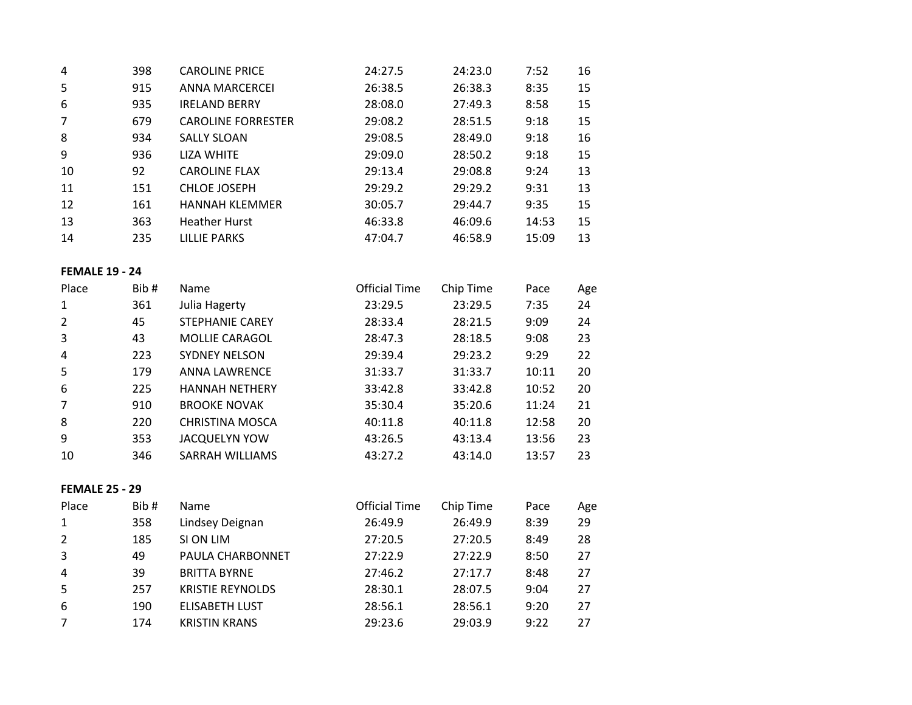| 4  | 398 | <b>CAROLINE PRICE</b>     | 24:27.5 | 24:23.0 | 7:52  | 16 |
|----|-----|---------------------------|---------|---------|-------|----|
| 5  | 915 | <b>ANNA MARCERCEI</b>     | 26:38.5 | 26:38.3 | 8:35  | 15 |
| 6  | 935 | <b>IRELAND BERRY</b>      | 28:08.0 | 27:49.3 | 8:58  | 15 |
| 7  | 679 | <b>CAROLINE FORRESTER</b> | 29:08.2 | 28:51.5 | 9:18  | 15 |
| 8  | 934 | <b>SALLY SLOAN</b>        | 29:08.5 | 28:49.0 | 9:18  | 16 |
| 9  | 936 | <b>LIZA WHITE</b>         | 29:09.0 | 28:50.2 | 9:18  | 15 |
| 10 | 92  | <b>CAROLINE FLAX</b>      | 29:13.4 | 29:08.8 | 9:24  | 13 |
| 11 | 151 | <b>CHLOE JOSEPH</b>       | 29:29.2 | 29:29.2 | 9:31  | 13 |
| 12 | 161 | <b>HANNAH KLEMMER</b>     | 30:05.7 | 29:44.7 | 9:35  | 15 |
| 13 | 363 | <b>Heather Hurst</b>      | 46:33.8 | 46:09.6 | 14:53 | 15 |
| 14 | 235 | LILLIE PARKS              | 47:04.7 | 46:58.9 | 15:09 | 13 |

#### **FEMALE 19 - 24**

| Place | Bib# | Name                   | <b>Official Time</b> | Chip Time | Pace  | Age |
|-------|------|------------------------|----------------------|-----------|-------|-----|
|       | 361  | Julia Hagerty          | 23:29.5              | 23:29.5   | 7:35  | 24  |
| 2     | 45   | <b>STEPHANIE CAREY</b> | 28:33.4              | 28:21.5   | 9:09  | 24  |
| 3     | 43   | <b>MOLLIE CARAGOL</b>  | 28:47.3              | 28:18.5   | 9:08  | 23  |
| 4     | 223  | <b>SYDNEY NELSON</b>   | 29:39.4              | 29:23.2   | 9:29  | 22  |
| 5     | 179  | <b>ANNA LAWRENCE</b>   | 31:33.7              | 31:33.7   | 10:11 | 20  |
| 6     | 225  | <b>HANNAH NETHERY</b>  | 33:42.8              | 33:42.8   | 10:52 | 20  |
|       | 910  | <b>BROOKE NOVAK</b>    | 35:30.4              | 35:20.6   | 11:24 | 21  |
| 8     | 220  | <b>CHRISTINA MOSCA</b> | 40:11.8              | 40:11.8   | 12:58 | 20  |
| 9     | 353  | <b>JACQUELYN YOW</b>   | 43:26.5              | 43:13.4   | 13:56 | 23  |
| 10    | 346  | SARRAH WILLIAMS        | 43:27.2              | 43:14.0   | 13:57 | 23  |
|       |      |                        |                      |           |       |     |

# **FEMALE 25 - 29**

| Place | Bib# | <b>Name</b>             | <b>Official Time</b> | Chip Time | Pace | Age |
|-------|------|-------------------------|----------------------|-----------|------|-----|
| 1     | 358  | Lindsey Deignan         | 26:49.9              | 26:49.9   | 8:39 | 29  |
| 2     | 185  | SI ON LIM               | 27:20.5              | 27:20.5   | 8:49 | 28  |
| 3     | 49   | PAULA CHARBONNET        | 27:22.9              | 27:22.9   | 8:50 | 27  |
| 4     | 39   | <b>BRITTA BYRNE</b>     | 27:46.2              | 27:17.7   | 8:48 | 27  |
| 5     | 257  | <b>KRISTIE REYNOLDS</b> | 28:30.1              | 28:07.5   | 9:04 | 27  |
| 6     | 190  | <b>ELISABETH LUST</b>   | 28:56.1              | 28:56.1   | 9:20 | 27  |
|       | 174  | <b>KRISTIN KRANS</b>    | 29:23.6              | 29:03.9   | 9:22 | 27  |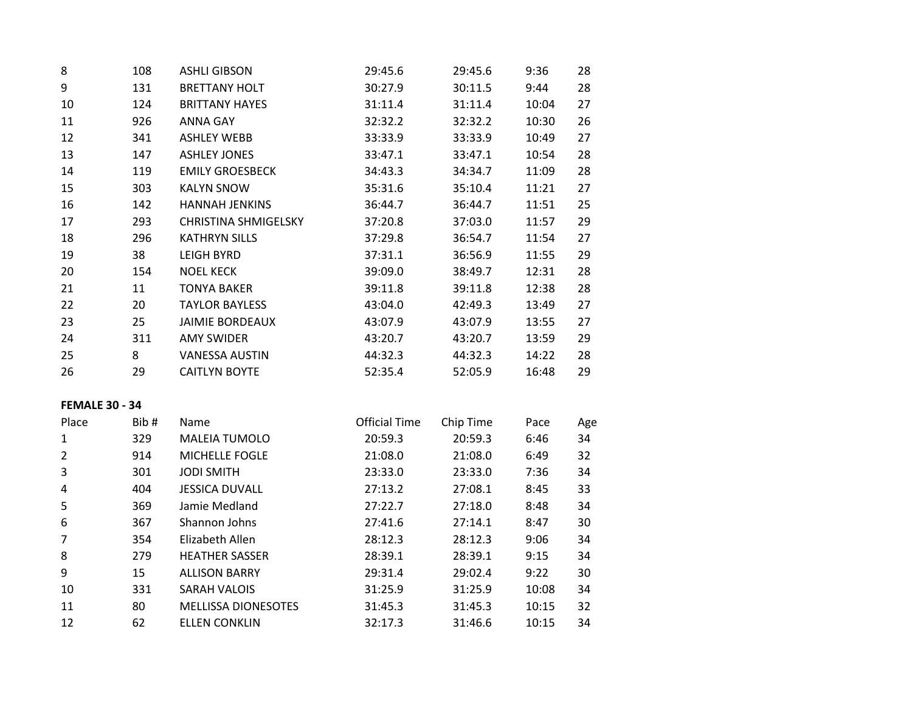| 8  | 108 | <b>ASHLI GIBSON</b>         | 29:45.6 | 29:45.6 | 9:36  | 28 |
|----|-----|-----------------------------|---------|---------|-------|----|
| 9  | 131 | <b>BRETTANY HOLT</b>        | 30:27.9 | 30:11.5 | 9:44  | 28 |
| 10 | 124 | <b>BRITTANY HAYES</b>       | 31:11.4 | 31:11.4 | 10:04 | 27 |
| 11 | 926 | <b>ANNA GAY</b>             | 32:32.2 | 32:32.2 | 10:30 | 26 |
| 12 | 341 | <b>ASHLEY WEBB</b>          | 33:33.9 | 33:33.9 | 10:49 | 27 |
| 13 | 147 | <b>ASHLEY JONES</b>         | 33:47.1 | 33:47.1 | 10:54 | 28 |
| 14 | 119 | <b>EMILY GROESBECK</b>      | 34:43.3 | 34:34.7 | 11:09 | 28 |
| 15 | 303 | <b>KALYN SNOW</b>           | 35:31.6 | 35:10.4 | 11:21 | 27 |
| 16 | 142 | <b>HANNAH JENKINS</b>       | 36:44.7 | 36:44.7 | 11:51 | 25 |
| 17 | 293 | <b>CHRISTINA SHMIGELSKY</b> | 37:20.8 | 37:03.0 | 11:57 | 29 |
| 18 | 296 | <b>KATHRYN SILLS</b>        | 37:29.8 | 36:54.7 | 11:54 | 27 |
| 19 | 38  | <b>LEIGH BYRD</b>           | 37:31.1 | 36:56.9 | 11:55 | 29 |
| 20 | 154 | <b>NOEL KECK</b>            | 39:09.0 | 38:49.7 | 12:31 | 28 |
| 21 | 11  | <b>TONYA BAKER</b>          | 39:11.8 | 39:11.8 | 12:38 | 28 |
| 22 | 20  | <b>TAYLOR BAYLESS</b>       | 43:04.0 | 42:49.3 | 13:49 | 27 |
| 23 | 25  | <b>JAIMIE BORDEAUX</b>      | 43:07.9 | 43:07.9 | 13:55 | 27 |
| 24 | 311 | <b>AMY SWIDER</b>           | 43:20.7 | 43:20.7 | 13:59 | 29 |
| 25 | 8   | <b>VANESSA AUSTIN</b>       | 44:32.3 | 44:32.3 | 14:22 | 28 |
| 26 | 29  | <b>CAITLYN BOYTE</b>        | 52:35.4 | 52:05.9 | 16:48 | 29 |
|    |     |                             |         |         |       |    |

# **FEMALE 30 - 34**

| Place | Bib# | Name                       | <b>Official Time</b> | Chip Time | Pace  | Age |
|-------|------|----------------------------|----------------------|-----------|-------|-----|
| 1     | 329  | <b>MALEIA TUMOLO</b>       | 20:59.3              | 20:59.3   | 6:46  | 34  |
| 2     | 914  | <b>MICHELLE FOGLE</b>      | 21:08.0              | 21:08.0   | 6:49  | 32  |
| 3     | 301  | <b>JODI SMITH</b>          | 23:33.0              | 23:33.0   | 7:36  | 34  |
| 4     | 404  | <b>JESSICA DUVALL</b>      | 27:13.2              | 27:08.1   | 8:45  | 33  |
| 5     | 369  | Jamie Medland              | 27:22.7              | 27:18.0   | 8:48  | 34  |
| 6     | 367  | Shannon Johns              | 27:41.6              | 27:14.1   | 8:47  | 30  |
|       | 354  | Elizabeth Allen            | 28:12.3              | 28:12.3   | 9:06  | 34  |
| 8     | 279  | <b>HEATHER SASSER</b>      | 28:39.1              | 28:39.1   | 9:15  | 34  |
| 9     | 15   | <b>ALLISON BARRY</b>       | 29:31.4              | 29:02.4   | 9:22  | 30  |
| 10    | 331  | <b>SARAH VALOIS</b>        | 31:25.9              | 31:25.9   | 10:08 | 34  |
| 11    | 80   | <b>MELLISSA DIONESOTES</b> | 31:45.3              | 31:45.3   | 10:15 | 32  |
| 12    | 62   | <b>ELLEN CONKLIN</b>       | 32:17.3              | 31:46.6   | 10:15 | 34  |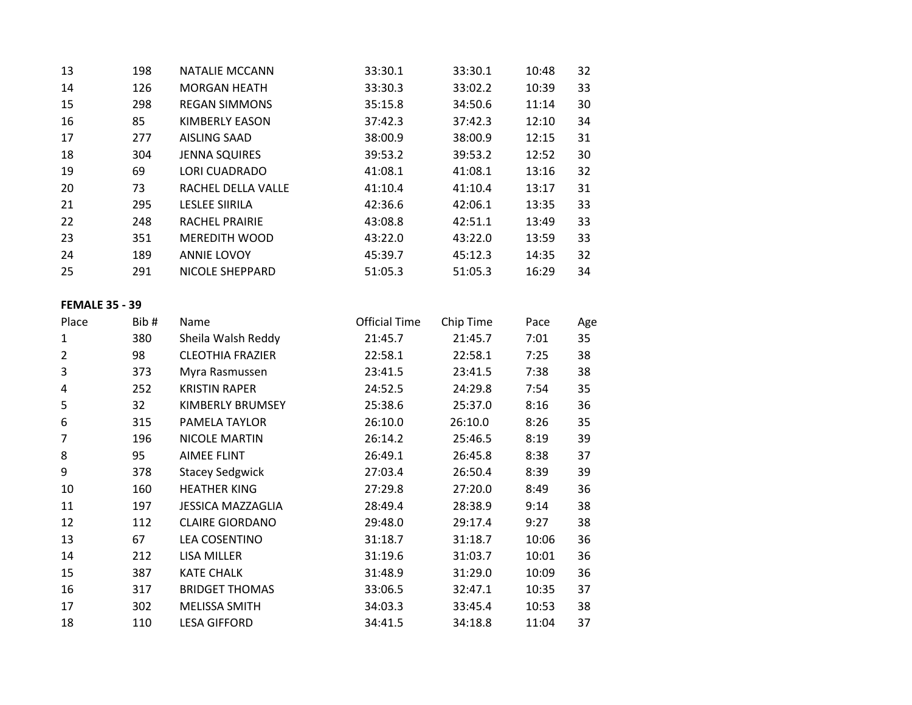| 13 | 198 | NATALIE MCCANN        | 33:30.1 | 33:30.1 | 10:48 | 32 |
|----|-----|-----------------------|---------|---------|-------|----|
| 14 | 126 | <b>MORGAN HEATH</b>   | 33:30.3 | 33:02.2 | 10:39 | 33 |
| 15 | 298 | <b>REGAN SIMMONS</b>  | 35:15.8 | 34:50.6 | 11:14 | 30 |
| 16 | 85  | KIMBERLY EASON        | 37:42.3 | 37:42.3 | 12:10 | 34 |
| 17 | 277 | <b>AISLING SAAD</b>   | 38:00.9 | 38:00.9 | 12:15 | 31 |
| 18 | 304 | <b>JENNA SQUIRES</b>  | 39:53.2 | 39:53.2 | 12:52 | 30 |
| 19 | 69  | <b>LORI CUADRADO</b>  | 41:08.1 | 41:08.1 | 13:16 | 32 |
| 20 | 73  | RACHEL DELLA VALLE    | 41:10.4 | 41:10.4 | 13:17 | 31 |
| 21 | 295 | <b>LESLEE SIIRILA</b> | 42:36.6 | 42:06.1 | 13:35 | 33 |
| 22 | 248 | <b>RACHEL PRAIRIE</b> | 43:08.8 | 42:51.1 | 13:49 | 33 |
| 23 | 351 | MEREDITH WOOD         | 43:22.0 | 43:22.0 | 13:59 | 33 |
| 24 | 189 | <b>ANNIE LOVOY</b>    | 45:39.7 | 45:12.3 | 14:35 | 32 |
| 25 | 291 | NICOLE SHEPPARD       | 51:05.3 | 51:05.3 | 16:29 | 34 |

### **FEMALE 35 - 39**

| Place | Bib# | Name                     | <b>Official Time</b> | Chip Time | Pace  | Age |
|-------|------|--------------------------|----------------------|-----------|-------|-----|
| 1     | 380  | Sheila Walsh Reddy       | 21:45.7              | 21:45.7   | 7:01  | 35  |
| 2     | 98   | <b>CLEOTHIA FRAZIER</b>  | 22:58.1              | 22:58.1   | 7:25  | 38  |
| 3     | 373  | Myra Rasmussen           | 23:41.5              | 23:41.5   | 7:38  | 38  |
| 4     | 252  | <b>KRISTIN RAPER</b>     | 24:52.5              | 24:29.8   | 7:54  | 35  |
| 5     | 32   | KIMBERLY BRUMSEY         | 25:38.6              | 25:37.0   | 8:16  | 36  |
| 6     | 315  | PAMELA TAYLOR            | 26:10.0              | 26:10.0   | 8:26  | 35  |
| 7     | 196  | NICOLE MARTIN            | 26:14.2              | 25:46.5   | 8:19  | 39  |
| 8     | 95   | <b>AIMEE FLINT</b>       | 26:49.1              | 26:45.8   | 8:38  | 37  |
| 9     | 378  | <b>Stacey Sedgwick</b>   | 27:03.4              | 26:50.4   | 8:39  | 39  |
| 10    | 160  | <b>HEATHER KING</b>      | 27:29.8              | 27:20.0   | 8:49  | 36  |
| 11    | 197  | <b>JESSICA MAZZAGLIA</b> | 28:49.4              | 28:38.9   | 9:14  | 38  |
| 12    | 112  | <b>CLAIRE GIORDANO</b>   | 29:48.0              | 29:17.4   | 9:27  | 38  |
| 13    | 67   | <b>LEA COSENTINO</b>     | 31:18.7              | 31:18.7   | 10:06 | 36  |
| 14    | 212  | LISA MILLER              | 31:19.6              | 31:03.7   | 10:01 | 36  |
| 15    | 387  | <b>KATE CHALK</b>        | 31:48.9              | 31:29.0   | 10:09 | 36  |
| 16    | 317  | <b>BRIDGET THOMAS</b>    | 33:06.5              | 32:47.1   | 10:35 | 37  |
| 17    | 302  | <b>MELISSA SMITH</b>     | 34:03.3              | 33:45.4   | 10:53 | 38  |
| 18    | 110  | <b>LESA GIFFORD</b>      | 34:41.5              | 34:18.8   | 11:04 | 37  |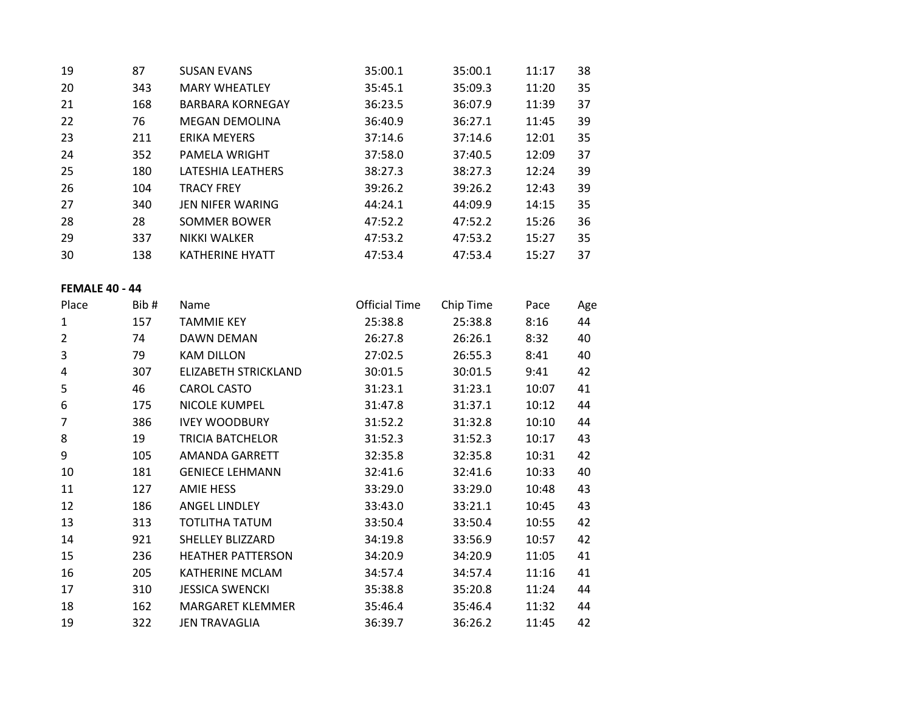| 19 | 87  | <b>SUSAN EVANS</b>      | 35:00.1 | 35:00.1 | 11:17 | 38 |
|----|-----|-------------------------|---------|---------|-------|----|
| 20 | 343 | <b>MARY WHEATLEY</b>    | 35:45.1 | 35:09.3 | 11:20 | 35 |
| 21 | 168 | <b>BARBARA KORNEGAY</b> | 36:23.5 | 36:07.9 | 11:39 | 37 |
| 22 | 76  | <b>MEGAN DEMOLINA</b>   | 36:40.9 | 36:27.1 | 11:45 | 39 |
| 23 | 211 | ERIKA MEYERS            | 37:14.6 | 37:14.6 | 12:01 | 35 |
| 24 | 352 | PAMELA WRIGHT           | 37:58.0 | 37:40.5 | 12:09 | 37 |
| 25 | 180 | LATESHIA LEATHERS       | 38:27.3 | 38:27.3 | 12:24 | 39 |
| 26 | 104 | <b>TRACY FREY</b>       | 39:26.2 | 39:26.2 | 12:43 | 39 |
| 27 | 340 | JEN NIFER WARING        | 44:24.1 | 44:09.9 | 14:15 | 35 |
| 28 | 28  | <b>SOMMER BOWER</b>     | 47:52.2 | 47:52.2 | 15:26 | 36 |
| 29 | 337 | <b>NIKKI WALKER</b>     | 47:53.2 | 47:53.2 | 15:27 | 35 |
| 30 | 138 | <b>KATHERINE HYATT</b>  | 47:53.4 | 47:53.4 | 15:27 | 37 |

### **FEMALE 40 - 44**

| Place          | Bib# | Name                     | <b>Official Time</b> | Chip Time | Pace  | Age |
|----------------|------|--------------------------|----------------------|-----------|-------|-----|
| 1              | 157  | <b>TAMMIE KEY</b>        | 25:38.8              | 25:38.8   | 8:16  | 44  |
| $\overline{2}$ | 74   | DAWN DEMAN               | 26:27.8              | 26:26.1   | 8:32  | 40  |
| 3              | 79   | <b>KAM DILLON</b>        | 27:02.5              | 26:55.3   | 8:41  | 40  |
| 4              | 307  | ELIZABETH STRICKLAND     | 30:01.5              | 30:01.5   | 9:41  | 42  |
| 5              | 46   | <b>CAROL CASTO</b>       | 31:23.1              | 31:23.1   | 10:07 | 41  |
| 6              | 175  | <b>NICOLE KUMPEL</b>     | 31:47.8              | 31:37.1   | 10:12 | 44  |
| 7              | 386  | <b>IVEY WOODBURY</b>     | 31:52.2              | 31:32.8   | 10:10 | 44  |
| 8              | 19   | <b>TRICIA BATCHELOR</b>  | 31:52.3              | 31:52.3   | 10:17 | 43  |
| 9              | 105  | AMANDA GARRETT           | 32:35.8              | 32:35.8   | 10:31 | 42  |
| 10             | 181  | <b>GENIECE LEHMANN</b>   | 32:41.6              | 32:41.6   | 10:33 | 40  |
| 11             | 127  | <b>AMIE HESS</b>         | 33:29.0              | 33:29.0   | 10:48 | 43  |
| 12             | 186  | <b>ANGEL LINDLEY</b>     | 33:43.0              | 33:21.1   | 10:45 | 43  |
| 13             | 313  | TOTLITHA TATUM           | 33:50.4              | 33:50.4   | 10:55 | 42  |
| 14             | 921  | SHELLEY BLIZZARD         | 34:19.8              | 33:56.9   | 10:57 | 42  |
| 15             | 236  | <b>HEATHER PATTERSON</b> | 34:20.9              | 34:20.9   | 11:05 | 41  |
| 16             | 205  | KATHERINE MCLAM          | 34:57.4              | 34:57.4   | 11:16 | 41  |
| 17             | 310  | <b>JESSICA SWENCKI</b>   | 35:38.8              | 35:20.8   | 11:24 | 44  |
| 18             | 162  | <b>MARGARET KLEMMER</b>  | 35:46.4              | 35:46.4   | 11:32 | 44  |
| 19             | 322  | <b>JEN TRAVAGLIA</b>     | 36:39.7              | 36:26.2   | 11:45 | 42  |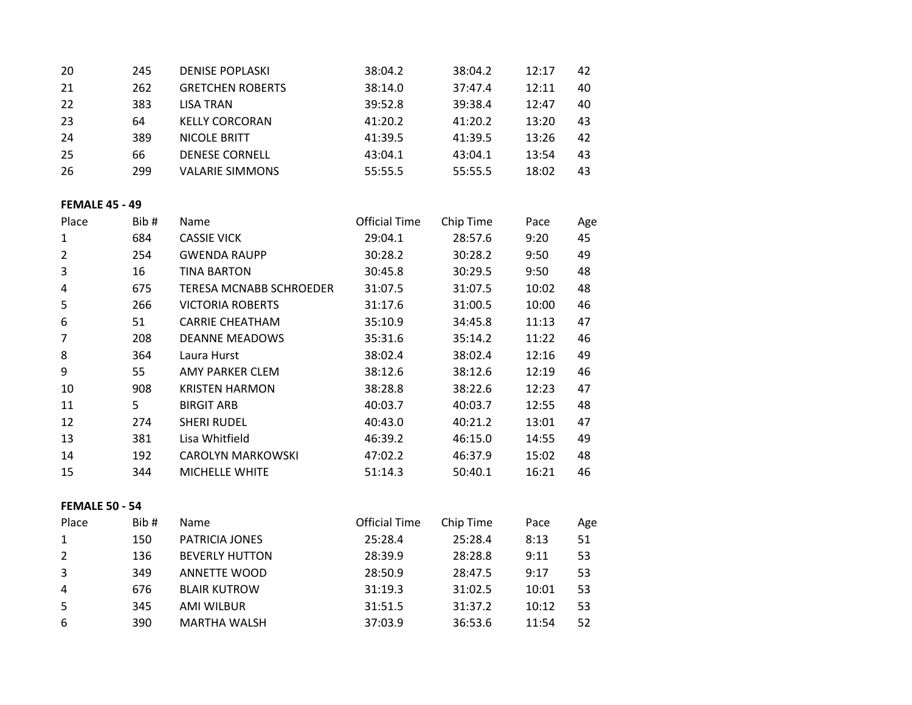| -20 | 245 | <b>DENISE POPLASKI</b>  | 38:04.2 | 38:04.2 | 12:17 | 42 |
|-----|-----|-------------------------|---------|---------|-------|----|
| 21  | 262 | <b>GRETCHEN ROBERTS</b> | 38:14.0 | 37:47.4 | 12:11 | 40 |
| 22  | 383 | LISA TRAN               | 39:52.8 | 39:38.4 | 12:47 | 40 |
| -23 | 64  | <b>KELLY CORCORAN</b>   | 41:20.2 | 41:20.2 | 13:20 | 43 |
| 24  | 389 | NICOLE BRITT            | 41:39.5 | 41:39.5 | 13:26 | 42 |
| 25  | 66  | <b>DENESE CORNELL</b>   | 43:04.1 | 43:04.1 | 13:54 | 43 |
| -26 | 299 | <b>VALARIE SIMMONS</b>  | 55:55.5 | 55:55.5 | 18:02 | 43 |

# **FEMALE 45 - 49**

| Place | Bib# | Name                     | <b>Official Time</b> | Chip Time | Pace  | Age |
|-------|------|--------------------------|----------------------|-----------|-------|-----|
| 1     | 684  | <b>CASSIE VICK</b>       | 29:04.1              | 28:57.6   | 9:20  | 45  |
| 2     | 254  | <b>GWENDA RAUPP</b>      | 30:28.2              | 30:28.2   | 9:50  | 49  |
| 3     | 16   | <b>TINA BARTON</b>       | 30:45.8              | 30:29.5   | 9:50  | 48  |
| 4     | 675  | TERESA MCNABB SCHROEDER  | 31:07.5              | 31:07.5   | 10:02 | 48  |
| 5     | 266  | <b>VICTORIA ROBERTS</b>  | 31:17.6              | 31:00.5   | 10:00 | 46  |
| 6     | 51   | <b>CARRIE CHEATHAM</b>   | 35:10.9              | 34:45.8   | 11:13 | 47  |
| 7     | 208  | <b>DEANNE MEADOWS</b>    | 35:31.6              | 35:14.2   | 11:22 | 46  |
| 8     | 364  | Laura Hurst              | 38:02.4              | 38:02.4   | 12:16 | 49  |
| 9     | 55   | AMY PARKER CLEM          | 38:12.6              | 38:12.6   | 12:19 | 46  |
| 10    | 908  | <b>KRISTEN HARMON</b>    | 38:28.8              | 38:22.6   | 12:23 | 47  |
| 11    | 5    | <b>BIRGIT ARB</b>        | 40:03.7              | 40:03.7   | 12:55 | 48  |
| 12    | 274  | <b>SHERI RUDEL</b>       | 40:43.0              | 40:21.2   | 13:01 | 47  |
| 13    | 381  | Lisa Whitfield           | 46:39.2              | 46:15.0   | 14:55 | 49  |
| 14    | 192  | <b>CAROLYN MARKOWSKI</b> | 47:02.2              | 46:37.9   | 15:02 | 48  |
| 15    | 344  | MICHELLE WHITE           | 51:14.3              | 50:40.1   | 16:21 | 46  |

### **FEMALE 50 - 54**

| Place | Bib# | <b>Name</b>           | <b>Official Time</b> | Chip Time | Pace  | Age |
|-------|------|-----------------------|----------------------|-----------|-------|-----|
|       | 150  | <b>PATRICIA JONES</b> | 25:28.4              | 25:28.4   | 8:13  | 51  |
|       | 136  | <b>BEVERLY HUTTON</b> | 28:39.9              | 28:28.8   | 9:11  | 53  |
| 3     | 349  | <b>ANNETTE WOOD</b>   | 28:50.9              | 28:47.5   | 9:17  | 53  |
| 4     | 676  | <b>BLAIR KUTROW</b>   | 31:19.3              | 31:02.5   | 10:01 | 53  |
| -5    | 345  | AMI WILBUR            | 31:51.5              | 31:37.2   | 10:12 | 53  |
| 6     | 390  | <b>MARTHA WALSH</b>   | 37:03.9              | 36:53.6   | 11:54 | 52  |